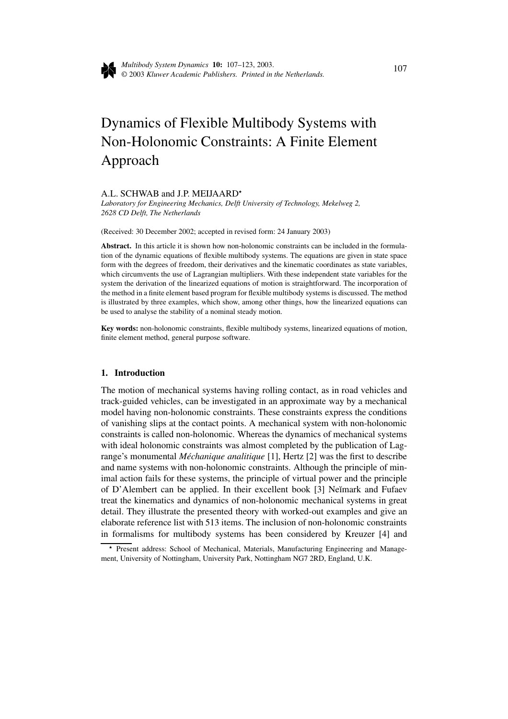

# Dynamics of Flexible Multibody Systems with Non-Holonomic Constraints: A Finite Element Approach

#### A.L. SCHWAB and J.P. MEIJAARD

*Laboratory for Engineering Mechanics, Delft University of Technology, Mekelweg 2, 2628 CD Delft, The Netherlands*

(Received: 30 December 2002; accepted in revised form: 24 January 2003)

**Abstract.** In this article it is shown how non-holonomic constraints can be included in the formulation of the dynamic equations of flexible multibody systems. The equations are given in state space form with the degrees of freedom, their derivatives and the kinematic coordinates as state variables, which circumvents the use of Lagrangian multipliers. With these independent state variables for the system the derivation of the linearized equations of motion is straightforward. The incorporation of the method in a finite element based program for flexible multibody systems is discussed. The method is illustrated by three examples, which show, among other things, how the linearized equations can be used to analyse the stability of a nominal steady motion.

**Key words:** non-holonomic constraints, flexible multibody systems, linearized equations of motion, finite element method, general purpose software.

### **1. Introduction**

The motion of mechanical systems having rolling contact, as in road vehicles and track-guided vehicles, can be investigated in an approximate way by a mechanical model having non-holonomic constraints. These constraints express the conditions of vanishing slips at the contact points. A mechanical system with non-holonomic constraints is called non-holonomic. Whereas the dynamics of mechanical systems with ideal holonomic constraints was almost completed by the publication of Lagrange's monumental *Méchanique analitique* [1], Hertz [2] was the first to describe and name systems with non-holonomic constraints. Although the principle of minimal action fails for these systems, the principle of virtual power and the principle of D'Alembert can be applied. In their excellent book [3] Neĭmark and Fufaev treat the kinematics and dynamics of non-holonomic mechanical systems in great detail. They illustrate the presented theory with worked-out examples and give an elaborate reference list with 513 items. The inclusion of non-holonomic constraints in formalisms for multibody systems has been considered by Kreuzer [4] and

<sup>\*</sup> Present address: School of Mechanical, Materials, Manufacturing Engineering and Management, University of Nottingham, University Park, Nottingham NG7 2RD, England, U.K.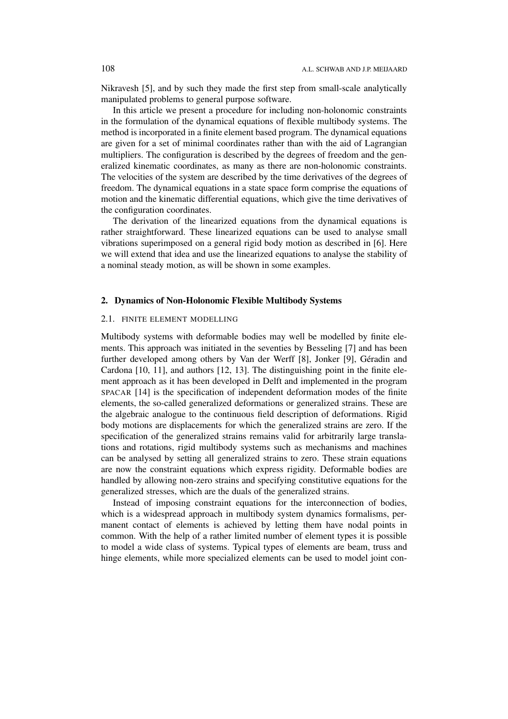Nikravesh [5], and by such they made the first step from small-scale analytically manipulated problems to general purpose software.

In this article we present a procedure for including non-holonomic constraints in the formulation of the dynamical equations of flexible multibody systems. The method is incorporated in a finite element based program. The dynamical equations are given for a set of minimal coordinates rather than with the aid of Lagrangian multipliers. The configuration is described by the degrees of freedom and the generalized kinematic coordinates, as many as there are non-holonomic constraints. The velocities of the system are described by the time derivatives of the degrees of freedom. The dynamical equations in a state space form comprise the equations of motion and the kinematic differential equations, which give the time derivatives of the configuration coordinates.

The derivation of the linearized equations from the dynamical equations is rather straightforward. These linearized equations can be used to analyse small vibrations superimposed on a general rigid body motion as described in [6]. Here we will extend that idea and use the linearized equations to analyse the stability of a nominal steady motion, as will be shown in some examples.

## **2. Dynamics of Non-Holonomic Flexible Multibody Systems**

#### 2.1. FINITE ELEMENT MODELLING

Multibody systems with deformable bodies may well be modelled by finite elements. This approach was initiated in the seventies by Besseling [7] and has been further developed among others by Van der Werff [8], Jonker [9], Géradin and Cardona [10, 11], and authors [12, 13]. The distinguishing point in the finite element approach as it has been developed in Delft and implemented in the program SPACAR [14] is the specification of independent deformation modes of the finite elements, the so-called generalized deformations or generalized strains. These are the algebraic analogue to the continuous field description of deformations. Rigid body motions are displacements for which the generalized strains are zero. If the specification of the generalized strains remains valid for arbitrarily large translations and rotations, rigid multibody systems such as mechanisms and machines can be analysed by setting all generalized strains to zero. These strain equations are now the constraint equations which express rigidity. Deformable bodies are handled by allowing non-zero strains and specifying constitutive equations for the generalized stresses, which are the duals of the generalized strains.

Instead of imposing constraint equations for the interconnection of bodies, which is a widespread approach in multibody system dynamics formalisms, permanent contact of elements is achieved by letting them have nodal points in common. With the help of a rather limited number of element types it is possible to model a wide class of systems. Typical types of elements are beam, truss and hinge elements, while more specialized elements can be used to model joint con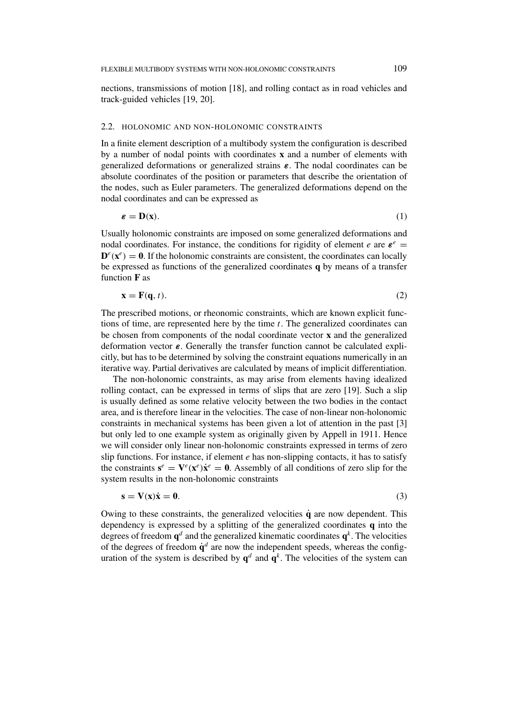nections, transmissions of motion [18], and rolling contact as in road vehicles and track-guided vehicles [19, 20].

## 2.2. HOLONOMIC AND NON-HOLONOMIC CONSTRAINTS

In a finite element description of a multibody system the configuration is described by a number of nodal points with coordinates **x** and a number of elements with generalized deformations or generalized strains *ε*. The nodal coordinates can be absolute coordinates of the position or parameters that describe the orientation of the nodes, such as Euler parameters. The generalized deformations depend on the nodal coordinates and can be expressed as

$$
\varepsilon = \mathbf{D}(\mathbf{x}).\tag{1}
$$

Usually holonomic constraints are imposed on some generalized deformations and nodal coordinates. For instance, the conditions for rigidity of element *e* are  $\epsilon^e$  =  $\mathbf{D}^e(\mathbf{x}^e) = \mathbf{0}$ . If the holonomic constraints are consistent, the coordinates can locally be expressed as functions of the generalized coordinates **q** by means of a transfer function **F** as

$$
\mathbf{x} = \mathbf{F}(\mathbf{q}, t). \tag{2}
$$

The prescribed motions, or rheonomic constraints, which are known explicit functions of time, are represented here by the time *t*. The generalized coordinates can be chosen from components of the nodal coordinate vector **x** and the generalized deformation vector *ε*. Generally the transfer function cannot be calculated explicitly, but has to be determined by solving the constraint equations numerically in an iterative way. Partial derivatives are calculated by means of implicit differentiation.

The non-holonomic constraints, as may arise from elements having idealized rolling contact, can be expressed in terms of slips that are zero [19]. Such a slip is usually defined as some relative velocity between the two bodies in the contact area, and is therefore linear in the velocities. The case of non-linear non-holonomic constraints in mechanical systems has been given a lot of attention in the past [3] but only led to one example system as originally given by Appell in 1911. Hence we will consider only linear non-holonomic constraints expressed in terms of zero slip functions. For instance, if element *e* has non-slipping contacts, it has to satisfy the constraints  $\mathbf{s}^e = \mathbf{V}^e(\mathbf{x}^e) \dot{\mathbf{x}}^e = \mathbf{0}$ . Assembly of all conditions of zero slip for the system results in the non-holonomic constraints

$$
s = V(x)\dot{x} = 0.
$$
 (3)

Owing to these constraints, the generalized velocities  $\dot{\mathbf{q}}$  are now dependent. This dependency is expressed by a splitting of the generalized coordinates **q** into the degrees of freedom  $q^d$  and the generalized kinematic coordinates  $q^k$ . The velocities of the degrees of freedom  $\dot{q}^d$  are now the independent speeds, whereas the configuration of the system is described by  $q^d$  and  $\tilde{q}^k$ . The velocities of the system can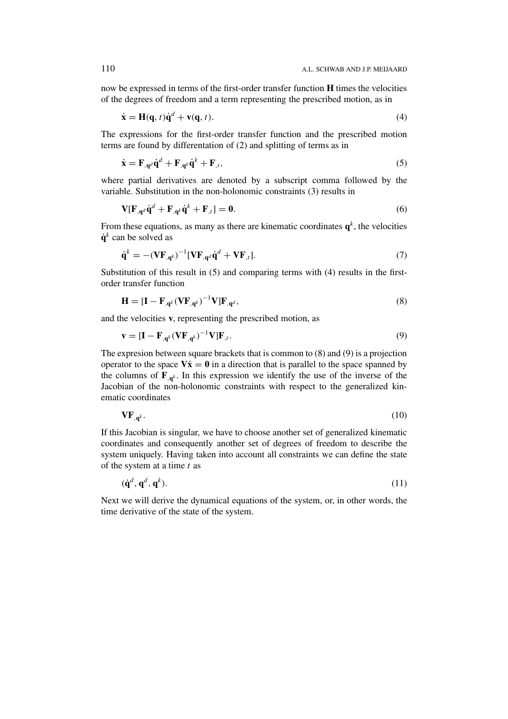now be expressed in terms of the first-order transfer function **H** times the velocities of the degrees of freedom and a term representing the prescribed motion, as in

$$
\dot{\mathbf{x}} = \mathbf{H}(\mathbf{q}, t)\dot{\mathbf{q}}^d + \mathbf{v}(\mathbf{q}, t). \tag{4}
$$

The expressions for the first-order transfer function and the prescribed motion terms are found by differentation of (2) and splitting of terms as in

$$
\dot{\mathbf{x}} = \mathbf{F}_{,\mathbf{q}^d} \dot{\mathbf{q}}^d + \mathbf{F}_{,\mathbf{q}^k} \dot{\mathbf{q}}^k + \mathbf{F}_{,t},\tag{5}
$$

where partial derivatives are denoted by a subscript comma followed by the variable. Substitution in the non-holonomic constraints (3) results in

$$
\mathbf{V}[\mathbf{F}_{,\mathbf{q}^d}\dot{\mathbf{q}}^d + \mathbf{F}_{,\mathbf{q}^k}\dot{\mathbf{q}}^k + \mathbf{F}_{,t}] = \mathbf{0}.
$$
 (6)

From these equations, as many as there are kinematic coordinates  $\mathbf{q}^k$ , the velocities  $\dot{a}^k$  can be solved as

$$
\dot{\mathbf{q}}^k = -(\mathbf{V}\mathbf{F}_{,\mathbf{q}^k})^{-1}[\mathbf{V}\mathbf{F}_{,\mathbf{q}^d}\dot{\mathbf{q}}^d + \mathbf{V}\mathbf{F}_{,t}].
$$
\n(7)

Substitution of this result in (5) and comparing terms with (4) results in the firstorder transfer function

$$
\mathbf{H} = [\mathbf{I} - \mathbf{F}_{,\mathbf{q}^k} (\mathbf{V} \mathbf{F}_{,\mathbf{q}^k})^{-1} \mathbf{V}] \mathbf{F}_{,\mathbf{q}^d},\tag{8}
$$

and the velocities **v**, representing the prescribed motion, as

$$
\mathbf{v} = [\mathbf{I} - \mathbf{F}_{,\mathbf{q}^k}(\mathbf{V}\mathbf{F}_{,\mathbf{q}^k})^{-1}\mathbf{V}]\mathbf{F}_{,t}.
$$
\n(9)

The expresion between square brackets that is common to (8) and (9) is a projection operator to the space  $V\dot{x} = 0$  in a direction that is parallel to the space spanned by the columns of  $\mathbf{F}_{\mathbf{a}^k}$ . In this expression we identify the use of the inverse of the Jacobian of the non-holonomic constraints with respect to the generalized kinematic coordinates

$$
\mathbf{VF}_{\mathbf{q}^k}.\tag{10}
$$

If this Jacobian is singular, we have to choose another set of generalized kinematic coordinates and consequently another set of degrees of freedom to describe the system uniquely. Having taken into account all constraints we can define the state of the system at a time *t* as

$$
(\dot{\mathbf{q}}^d, \mathbf{q}^d, \mathbf{q}^k). \tag{11}
$$

Next we will derive the dynamical equations of the system, or, in other words, the time derivative of the state of the system.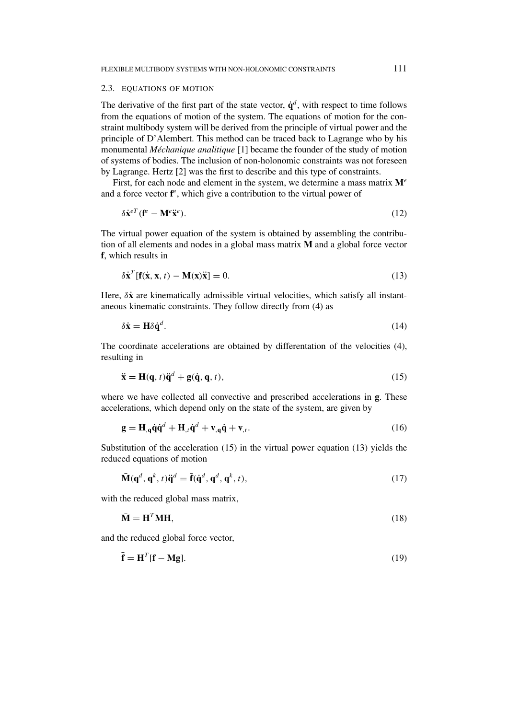#### 2.3. EQUATIONS OF MOTION

The derivative of the first part of the state vector,  $\dot{q}^d$ , with respect to time follows from the equations of motion of the system. The equations of motion for the constraint multibody system will be derived from the principle of virtual power and the principle of D'Alembert. This method can be traced back to Lagrange who by his monumental *Méchanique analitique* [1] became the founder of the study of motion of systems of bodies. The inclusion of non-holonomic constraints was not foreseen by Lagrange. Hertz [2] was the first to describe and this type of constraints.

First, for each node and element in the system, we determine a mass matrix **M***<sup>e</sup>* and a force vector **f** *<sup>e</sup>*, which give a contribution to the virtual power of

$$
\delta \dot{\mathbf{x}}^{eT} (\mathbf{f}^e - \mathbf{M}^e \ddot{\mathbf{x}}^e). \tag{12}
$$

The virtual power equation of the system is obtained by assembling the contribution of all elements and nodes in a global mass matrix **M** and a global force vector **f**, which results in

$$
\delta \dot{\mathbf{x}}^T [\mathbf{f}(\dot{\mathbf{x}}, \mathbf{x}, t) - \mathbf{M}(\mathbf{x}) \ddot{\mathbf{x}}] = 0.
$$
 (13)

Here,  $\delta \dot{x}$  are kinematically admissible virtual velocities, which satisfy all instantaneous kinematic constraints. They follow directly from (4) as

$$
\delta \dot{\mathbf{x}} = \mathbf{H} \delta \dot{\mathbf{q}}^d. \tag{14}
$$

The coordinate accelerations are obtained by differentation of the velocities (4), resulting in

$$
\ddot{\mathbf{x}} = \mathbf{H}(\mathbf{q}, t)\ddot{\mathbf{q}}^d + \mathbf{g}(\dot{\mathbf{q}}, \mathbf{q}, t),\tag{15}
$$

where we have collected all convective and prescribed accelerations in **g**. These accelerations, which depend only on the state of the system, are given by

$$
\mathbf{g} = \mathbf{H}_{,q} \dot{\mathbf{q}} \dot{\mathbf{q}}^d + \mathbf{H}_{,t} \dot{\mathbf{q}}^d + \mathbf{v}_{,q} \dot{\mathbf{q}} + \mathbf{v}_{,t}.
$$
 (16)

Substitution of the acceleration (15) in the virtual power equation (13) yields the reduced equations of motion

$$
\bar{\mathbf{M}}(\mathbf{q}^d, \mathbf{q}^k, t)\ddot{\mathbf{q}}^d = \bar{\mathbf{f}}(\dot{\mathbf{q}}^d, \mathbf{q}^d, \mathbf{q}^k, t),
$$
\n(17)

with the reduced global mass matrix,

$$
\bar{\mathbf{M}} = \mathbf{H}^T \mathbf{M} \mathbf{H},\tag{18}
$$

and the reduced global force vector,

$$
\bar{\mathbf{f}} = \mathbf{H}^T[\mathbf{f} - \mathbf{M}\mathbf{g}].\tag{19}
$$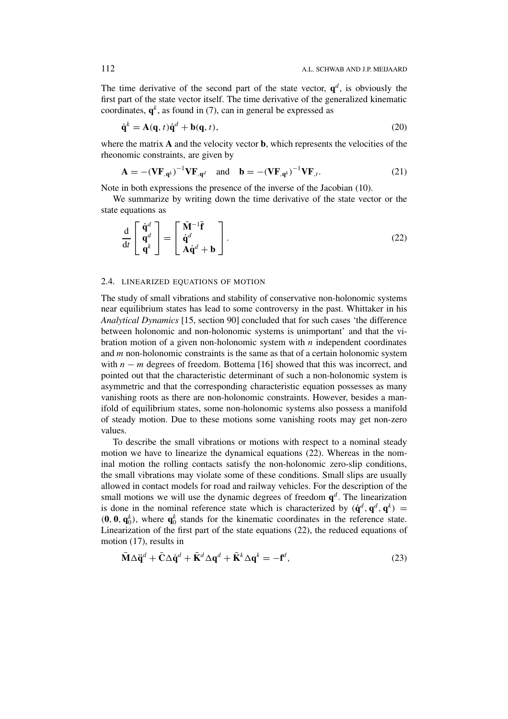The time derivative of the second part of the state vector,  $q^d$ , is obviously the first part of the state vector itself. The time derivative of the generalized kinematic coordinates,  $\mathbf{q}^k$ , as found in (7), can in general be expressed as

$$
\dot{\mathbf{q}}^k = \mathbf{A}(\mathbf{q}, t)\dot{\mathbf{q}}^d + \mathbf{b}(\mathbf{q}, t),\tag{20}
$$

where the matrix **A** and the velocity vector **b**, which represents the velocities of the rheonomic constraints, are given by

$$
\mathbf{A} = -(\mathbf{V}\mathbf{F}_{,\mathbf{q}^k})^{-1}\mathbf{V}\mathbf{F}_{,\mathbf{q}^d} \quad \text{and} \quad \mathbf{b} = -(\mathbf{V}\mathbf{F}_{,\mathbf{q}^k})^{-1}\mathbf{V}\mathbf{F}_{,t}.
$$
 (21)

Note in both expressions the presence of the inverse of the Jacobian (10).

We summarize by writing down the time derivative of the state vector or the state equations as

$$
\frac{\mathrm{d}}{\mathrm{d}t} \begin{bmatrix} \dot{\mathbf{q}}^d \\ \mathbf{q}^d \\ \mathbf{q}^k \end{bmatrix} = \begin{bmatrix} \bar{\mathbf{M}}^{-1} \bar{\mathbf{f}} \\ \dot{\mathbf{q}}^d \\ \mathbf{A} \dot{\mathbf{q}}^d + \mathbf{b} \end{bmatrix} . \tag{22}
$$

#### 2.4. LINEARIZED EQUATIONS OF MOTION

The study of small vibrations and stability of conservative non-holonomic systems near equilibrium states has lead to some controversy in the past. Whittaker in his *Analytical Dynamics* [15, section 90] concluded that for such cases 'the difference between holonomic and non-holonomic systems is unimportant' and that the vibration motion of a given non-holonomic system with *n* independent coordinates and *m* non-holonomic constraints is the same as that of a certain holonomic system with *n* − *m* degrees of freedom. Bottema [16] showed that this was incorrect, and pointed out that the characteristic determinant of such a non-holonomic system is asymmetric and that the corresponding characteristic equation possesses as many vanishing roots as there are non-holonomic constraints. However, besides a manifold of equilibrium states, some non-holonomic systems also possess a manifold of steady motion. Due to these motions some vanishing roots may get non-zero values.

To describe the small vibrations or motions with respect to a nominal steady motion we have to linearize the dynamical equations (22). Whereas in the nominal motion the rolling contacts satisfy the non-holonomic zero-slip conditions, the small vibrations may violate some of these conditions. Small slips are usually allowed in contact models for road and railway vehicles. For the description of the small motions we will use the dynamic degrees of freedom  $q<sup>d</sup>$ . The linearization is done in the nominal reference state which is characterized by  $(\dot{\mathbf{q}}^d, \mathbf{q}^d, \mathbf{q}^k)$  =  $(0, 0, q_0^k)$ , where  $q_0^k$  stands for the kinematic coordinates in the reference state. Linearization of the first part of the state equations (22), the reduced equations of motion (17), results in

$$
\bar{\mathbf{M}}\Delta \ddot{\mathbf{q}}^d + \bar{\mathbf{C}}\Delta \dot{\mathbf{q}}^d + \bar{\mathbf{K}}^d \Delta \mathbf{q}^d + \bar{\mathbf{K}}^k \Delta \mathbf{q}^k = -\mathbf{f}^d,\tag{23}
$$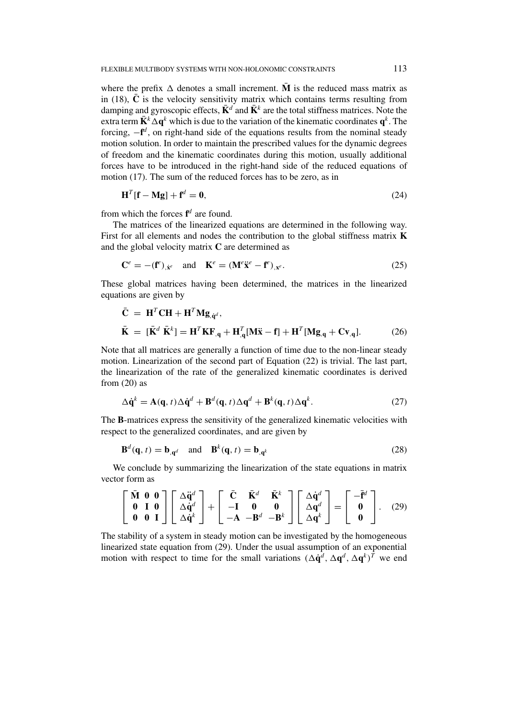where the prefix  $\Delta$  denotes a small increment. **M** is the reduced mass matrix as in (18),  $\overline{C}$  is the velocity sensitivity matrix which contains terms resulting from damping and gyroscopic effects,  $\bar{\mathbf{K}}^d$  and  $\bar{\mathbf{K}}^k$  are the total stiffness matrices. Note the extra term  $\bar{\mathbf{K}}^k \Delta \mathbf{q}^k$  which is due to the variation of the kinematic coordinates  $\mathbf{q}^k$ . The forcing, −**f** *<sup>d</sup>* , on right-hand side of the equations results from the nominal steady motion solution. In order to maintain the prescribed values for the dynamic degrees of freedom and the kinematic coordinates during this motion, usually additional forces have to be introduced in the right-hand side of the reduced equations of motion (17). The sum of the reduced forces has to be zero, as in

$$
\mathbf{H}^T[\mathbf{f} - \mathbf{M}\mathbf{g}] + \mathbf{f}^d = \mathbf{0},\tag{24}
$$

from which the forces **f** *<sup>d</sup>* are found.

The matrices of the linearized equations are determined in the following way. First for all elements and nodes the contribution to the global stiffness matrix **K** and the global velocity matrix **C** are determined as

$$
\mathbf{C}^e = -(\mathbf{f}^e)_{,\dot{\mathbf{x}}^e} \quad \text{and} \quad \mathbf{K}^e = (\mathbf{M}^e \ddot{\mathbf{x}}^e - \mathbf{f}^e)_{,\mathbf{x}^e}.\tag{25}
$$

These global matrices having been determined, the matrices in the linearized equations are given by

$$
\overline{\mathbf{C}} = \mathbf{H}^T \mathbf{C} \mathbf{H} + \mathbf{H}^T \mathbf{M} \mathbf{g}_{\dot{q}^d},
$$
\n
$$
\overline{\mathbf{K}} = [\overline{\mathbf{K}}^d \ \overline{\mathbf{K}}^k] = \mathbf{H}^T \mathbf{K} \mathbf{F}_{\dot{q}} + \mathbf{H}_{\dot{q}}^T [\mathbf{M} \overline{\mathbf{x}} - \mathbf{f}] + \mathbf{H}^T [\mathbf{M} \mathbf{g}_{\dot{q}} + \mathbf{C} \mathbf{v}_{\dot{q}}].
$$
\n(26)

Note that all matrices are generally a function of time due to the non-linear steady motion. Linearization of the second part of Equation (22) is trivial. The last part, the linearization of the rate of the generalized kinematic coordinates is derived from  $(20)$  as

$$
\Delta \dot{\mathbf{q}}^k = \mathbf{A}(\mathbf{q}, t) \Delta \dot{\mathbf{q}}^d + \mathbf{B}^d(\mathbf{q}, t) \Delta \mathbf{q}^d + \mathbf{B}^k(\mathbf{q}, t) \Delta \mathbf{q}^k.
$$
 (27)

The **B**-matrices express the sensitivity of the generalized kinematic velocities with respect to the generalized coordinates, and are given by

$$
\mathbf{B}^{d}(\mathbf{q}, t) = \mathbf{b}_{,\mathbf{q}^{d}} \quad \text{and} \quad \mathbf{B}^{k}(\mathbf{q}, t) = \mathbf{b}_{,\mathbf{q}^{k}} \tag{28}
$$

We conclude by summarizing the linearization of the state equations in matrix vector form as

$$
\begin{bmatrix} \bar{\mathbf{M}} & \mathbf{0} & \mathbf{0} \\ \mathbf{0} & \mathbf{I} & \mathbf{0} \\ \mathbf{0} & \mathbf{0} & \mathbf{I} \end{bmatrix} \begin{bmatrix} \Delta \ddot{\mathbf{q}}^d \\ \Delta \dot{\mathbf{q}}^d \\ \Delta \dot{\mathbf{q}}^k \end{bmatrix} + \begin{bmatrix} \bar{\mathbf{C}} & \bar{\mathbf{K}}^d & \bar{\mathbf{K}}^k \\ -\mathbf{I} & \mathbf{0} & \mathbf{0} \\ -\mathbf{A} & -\mathbf{B}^d & -\mathbf{B}^k \end{bmatrix} \begin{bmatrix} \Delta \dot{\mathbf{q}}^d \\ \Delta \mathbf{q}^d \\ \Delta \mathbf{q}^k \end{bmatrix} = \begin{bmatrix} -\bar{\mathbf{f}}^d \\ \mathbf{0} \\ \mathbf{0} \end{bmatrix}.
$$
 (29)

The stability of a system in steady motion can be investigated by the homogeneous linearized state equation from (29). Under the usual assumption of an exponential motion with respect to time for the small variations  $({\Delta \dot{q}}^d, {\Delta q}^d, {\Delta q}^k)^T$  we end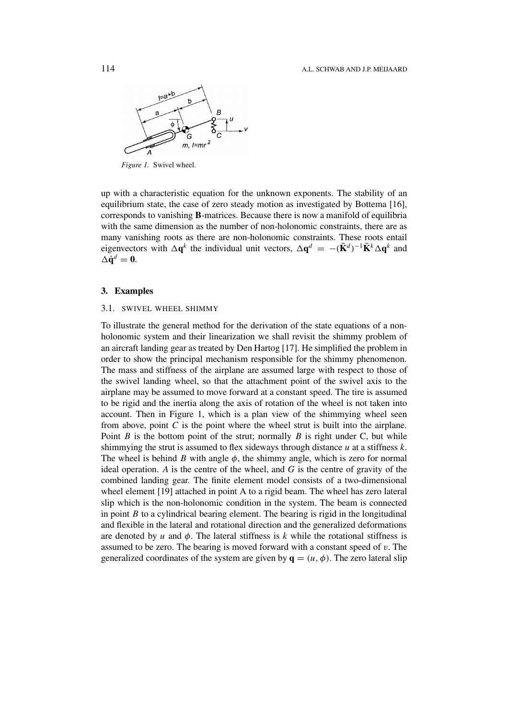

*Figure 1.* Swivel wheel.

up with a characteristic equation for the unknown exponents. The stability of an equilibrium state, the case of zero steady motion as investigated by Bottema [16], corresponds to vanishing **B**-matrices. Because there is now a manifold of equilibria with the same dimension as the number of non-holonomic constraints, there are as many vanishing roots as there are non-holonomic constraints. These roots entail eigenvectors with  $\Delta \mathbf{q}^k$  the individual unit vectors,  $\Delta \mathbf{q}^d = -(\mathbf{K}^d)^{-1}\mathbf{K}^k\Delta \mathbf{q}^k$  and  $\Delta \dot{\mathbf{q}}^d = \mathbf{0}.$ 

#### **3. Examples**

#### 3.1. SWIVEL WHEEL SHIMMY

To illustrate the general method for the derivation of the state equations of a nonholonomic system and their linearization we shall revisit the shimmy problem of an aircraft landing gear as treated by Den Hartog [17]. He simplified the problem in order to show the principal mechanism responsible for the shimmy phenomenon. The mass and stiffness of the airplane are assumed large with respect to those of the swivel landing wheel, so that the attachment point of the swivel axis to the airplane may be assumed to move forward at a constant speed. The tire is assumed to be rigid and the inertia along the axis of rotation of the wheel is not taken into account. Then in Figure 1, which is a plan view of the shimmying wheel seen from above, point *C* is the point where the wheel strut is built into the airplane. Point *B* is the bottom point of the strut; normally *B* is right under C, but while shimmying the strut is assumed to flex sideways through distance *u* at a stiffness *k*. The wheel is behind *B* with angle  $\phi$ , the shimmy angle, which is zero for normal ideal operation. *A* is the centre of the wheel, and *G* is the centre of gravity of the combined landing gear. The finite element model consists of a two-dimensional wheel element [19] attached in point A to a rigid beam. The wheel has zero lateral slip which is the non-holonomic condition in the system. The beam is connected in point *B* to a cylindrical bearing element. The bearing is rigid in the longitudinal and flexible in the lateral and rotational direction and the generalized deformations are denoted by  $u$  and  $\phi$ . The lateral stiffness is  $k$  while the rotational stiffness is assumed to be zero. The bearing is moved forward with a constant speed of *v*. The generalized coordinates of the system are given by  $\mathbf{q} = (u, \phi)$ . The zero lateral slip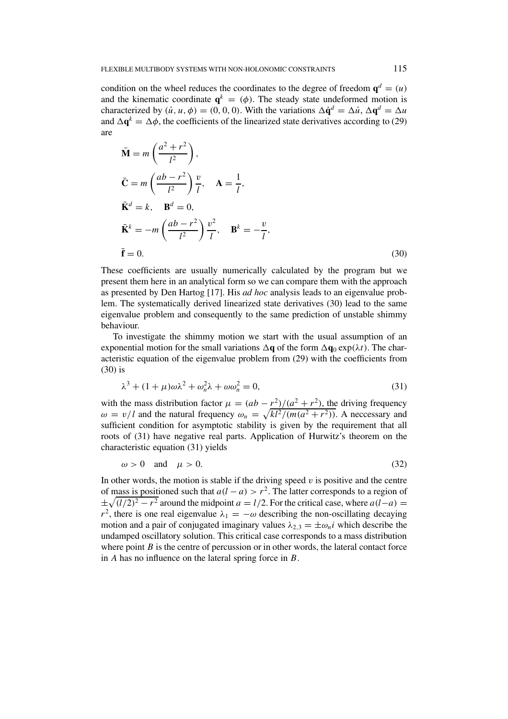condition on the wheel reduces the coordinates to the degree of freedom  $\mathbf{q}^d = (u)$ and the kinematic coordinate  $q^k = (\phi)$ . The steady state undeformed motion is characterized by  $(\dot{u}, u, \phi) = (0, 0, 0)$ . With the variations  $\Delta \dot{q}^d = \Delta \dot{u}, \Delta q^d = \Delta u$ and  $\Delta \mathbf{q}^k = \Delta \phi$ , the coefficients of the linearized state derivatives according to (29) are

$$
\bar{\mathbf{M}} = m \left( \frac{a^2 + r^2}{l^2} \right),
$$
\n
$$
\bar{\mathbf{C}} = m \left( \frac{ab - r^2}{l^2} \right) \frac{v}{l}, \quad \mathbf{A} = \frac{1}{l},
$$
\n
$$
\bar{\mathbf{K}}^d = k, \quad \mathbf{B}^d = 0,
$$
\n
$$
\bar{\mathbf{K}}^k = -m \left( \frac{ab - r^2}{l^2} \right) \frac{v^2}{l}, \quad \mathbf{B}^k = -\frac{v}{l},
$$
\n
$$
\bar{\mathbf{f}} = 0.
$$
\n(30)

These coefficients are usually numerically calculated by the program but we present them here in an analytical form so we can compare them with the approach as presented by Den Hartog [17]. His *ad hoc* analysis leads to an eigenvalue problem. The systematically derived linearized state derivatives (30) lead to the same eigenvalue problem and consequently to the same prediction of unstable shimmy behaviour.

To investigate the shimmy motion we start with the usual assumption of an exponential motion for the small variations  $\Delta \mathbf{q}$  of the form  $\Delta \mathbf{q}_0 \exp(\lambda t)$ . The characteristic equation of the eigenvalue problem from (29) with the coefficients from (30) is

$$
\lambda^3 + (1 + \mu)\omega\lambda^2 + \omega_n^2\lambda + \omega\omega_n^2 = 0,
$$
\n(31)

with the mass distribution factor  $\mu = (ab - r^2)/(a^2 + r^2)$ , the driving frequency  $\omega = v/l$  and the natural frequency  $\omega_n = \sqrt{k l^2/(m(a^2 + r^2))}$ . A neccessary and sufficient condition for asymptotic stability is given by the requirement that all roots of (31) have negative real parts. Application of Hurwitz's theorem on the characteristic equation (31) yields

$$
\omega > 0 \quad \text{and} \quad \mu > 0. \tag{32}
$$

In other words, the motion is stable if the driving speed  $v$  is positive and the centre of mass is positioned such that  $a(l - a) > r^2$ . The latter corresponds to a region of  $\pm \sqrt{(l/2)^2 - r^2}$  around the midpoint *a* = *l*/2. For the critical case, where *a*(*l*−*a*) = *r*<sup>2</sup>, there is one real eigenvalue  $\lambda_1 = -\omega$  describing the non-oscillating decaying motion and a pair of conjugated imaginary values  $\lambda_{2,3} = \pm \omega_n i$  which describe the undamped oscillatory solution. This critical case corresponds to a mass distribution where point *B* is the centre of percussion or in other words, the lateral contact force in *A* has no influence on the lateral spring force in *B*.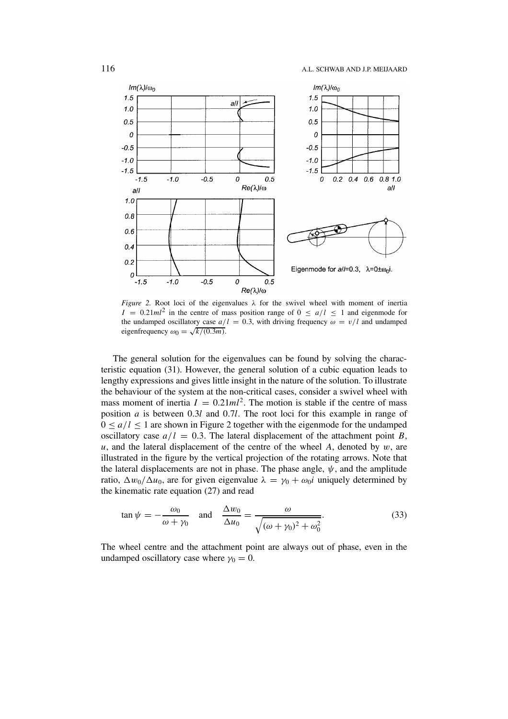

*Figure 2.* Root loci of the eigenvalues *λ* for the swivel wheel with moment of inertia  $I = 0.21ml^2$  in the centre of mass position range of  $0 \le a/l \le 1$  and eigenmode for the undamped oscillatory case  $a/l = 0.3$ , with driving frequency  $\omega = v/l$  and undamped eigenfrequency  $\omega_0 = \sqrt{k/(0.3m)}$ .

The general solution for the eigenvalues can be found by solving the characteristic equation (31). However, the general solution of a cubic equation leads to lengthy expressions and gives little insight in the nature of the solution. To illustrate the behaviour of the system at the non-critical cases, consider a swivel wheel with mass moment of inertia  $I = 0.21ml^2$ . The motion is stable if the centre of mass position *a* is between 0*.*3*l* and 0*.*7*l*. The root loci for this example in range of  $0 \le a/l \le 1$  are shown in Figure 2 together with the eigenmode for the undamped oscillatory case  $a/l = 0.3$ . The lateral displacement of the attachment point *B*,  $u$ , and the lateral displacement of the centre of the wheel *A*, denoted by  $w$ , are illustrated in the figure by the vertical projection of the rotating arrows. Note that the lateral displacements are not in phase. The phase angle,  $\psi$ , and the amplitude ratio,  $\Delta w_0 / \Delta u_0$ , are for given eigenvalue  $\lambda = \gamma_0 + \omega_0 i$  uniquely determined by the kinematic rate equation (27) and read

$$
\tan \psi = -\frac{\omega_0}{\omega + \gamma_0} \quad \text{and} \quad \frac{\Delta w_0}{\Delta u_0} = \frac{\omega}{\sqrt{(\omega + \gamma_0)^2 + \omega_0^2}}.
$$
 (33)

The wheel centre and the attachment point are always out of phase, even in the undamped oscillatory case where  $\gamma_0 = 0$ .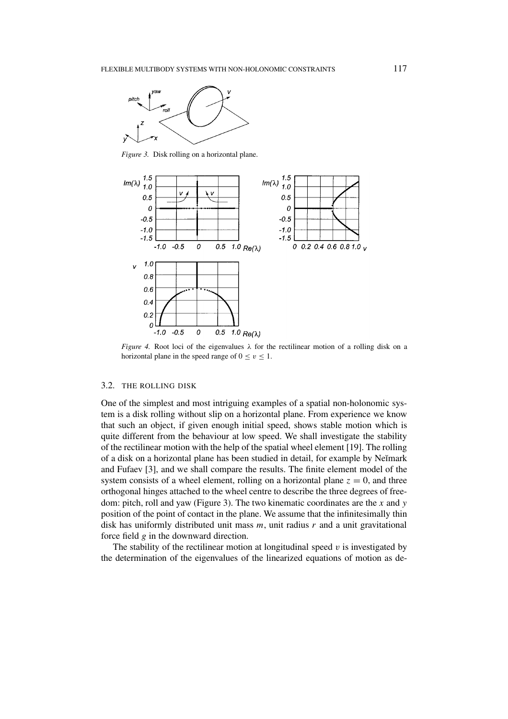

*Figure 3.* Disk rolling on a horizontal plane.



*Figure 4.* Root loci of the eigenvalues *λ* for the rectilinear motion of a rolling disk on a horizontal plane in the speed range of  $0 \le v \le 1$ .

#### 3.2. THE ROLLING DISK

One of the simplest and most intriguing examples of a spatial non-holonomic system is a disk rolling without slip on a horizontal plane. From experience we know that such an object, if given enough initial speed, shows stable motion which is quite different from the behaviour at low speed. We shall investigate the stability of the rectilinear motion with the help of the spatial wheel element [19]. The rolling of a disk on a horizontal plane has been studied in detail, for example by Neĭmark and Fufaev [3], and we shall compare the results. The finite element model of the system consists of a wheel element, rolling on a horizontal plane  $z = 0$ , and three orthogonal hinges attached to the wheel centre to describe the three degrees of freedom: pitch, roll and yaw (Figure 3). The two kinematic coordinates are the *x* and *y* position of the point of contact in the plane. We assume that the infinitesimally thin disk has uniformly distributed unit mass *m*, unit radius *r* and a unit gravitational force field *g* in the downward direction.

The stability of the rectilinear motion at longitudinal speed *v* is investigated by the determination of the eigenvalues of the linearized equations of motion as de-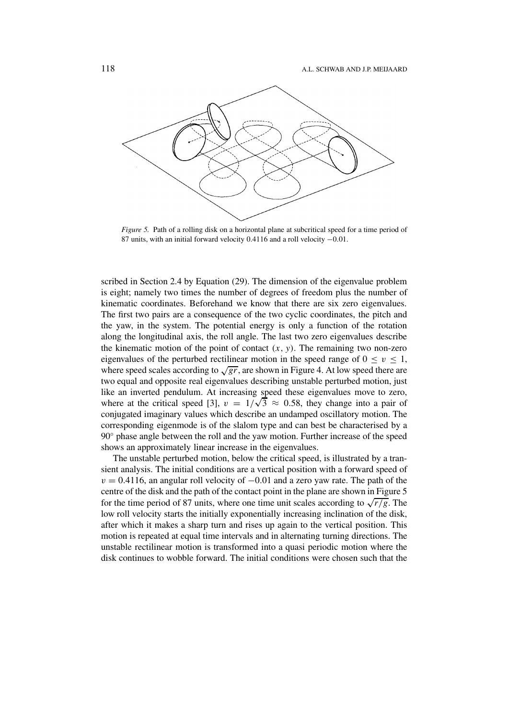

*Figure 5.* Path of a rolling disk on a horizontal plane at subcritical speed for a time period of 87 units, with an initial forward velocity 0.4116 and a roll velocity −0*.*01.

scribed in Section 2.4 by Equation (29). The dimension of the eigenvalue problem is eight; namely two times the number of degrees of freedom plus the number of kinematic coordinates. Beforehand we know that there are six zero eigenvalues. The first two pairs are a consequence of the two cyclic coordinates, the pitch and the yaw, in the system. The potential energy is only a function of the rotation along the longitudinal axis, the roll angle. The last two zero eigenvalues describe the kinematic motion of the point of contact  $(x, y)$ . The remaining two non-zero eigenvalues of the perturbed rectilinear motion in the speed range of  $0 \le v \le 1$ , where speed scales according to  $\sqrt{gr}$ , are shown in Figure 4. At low speed there are two equal and opposite real eigenvalues describing unstable perturbed motion, just like an inverted pendulum. At increasing speed these eigenvalues move to zero, where at the critical speed [3],  $v = 1/\sqrt{3} \approx 0.58$ , they change into a pair of conjugated imaginary values which describe an undamped oscillatory motion. The corresponding eigenmode is of the slalom type and can best be characterised by a 90◦ phase angle between the roll and the yaw motion. Further increase of the speed shows an approximately linear increase in the eigenvalues.

The unstable perturbed motion, below the critical speed, is illustrated by a transient analysis. The initial conditions are a vertical position with a forward speed of  $v = 0.4116$ , an angular roll velocity of  $-0.01$  and a zero yaw rate. The path of the centre of the disk and the path of the contact point in the plane are shown in Figure 5 for the time period of 87 units, where one time unit scales according to  $\sqrt{r/g}$ . The low roll velocity starts the initially exponentially increasing inclination of the disk, after which it makes a sharp turn and rises up again to the vertical position. This motion is repeated at equal time intervals and in alternating turning directions. The unstable rectilinear motion is transformed into a quasi periodic motion where the disk continues to wobble forward. The initial conditions were chosen such that the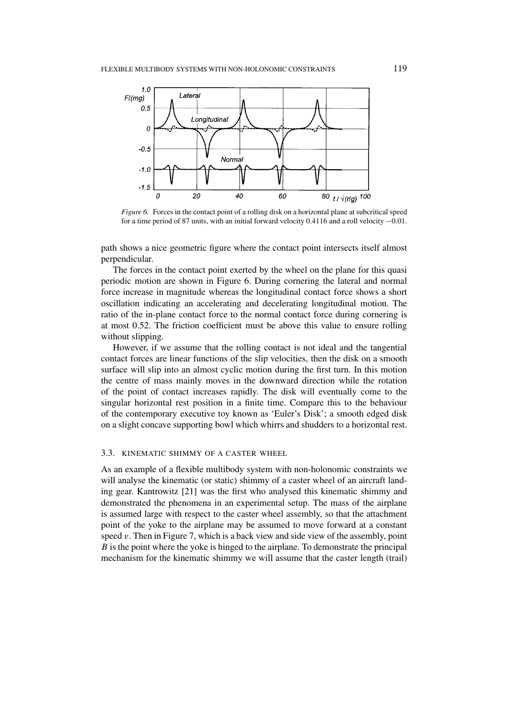

*Figure 6.* Forces in the contact point of a rolling disk on a horizontal plane at subcritical speed for a time period of 87 units, with an initial forward velocity 0.4116 and a roll velocity −0*.*01.

path shows a nice geometric figure where the contact point intersects itself almost perpendicular.

The forces in the contact point exerted by the wheel on the plane for this quasi periodic motion are shown in Figure 6. During cornering the lateral and normal force increase in magnitude whereas the longitudinal contact force shows a short oscillation indicating an accelerating and decelerating longitudinal motion. The ratio of the in-plane contact force to the normal contact force during cornering is at most 0.52. The friction coefficient must be above this value to ensure rolling without slipping.

However, if we assume that the rolling contact is not ideal and the tangential contact forces are linear functions of the slip velocities, then the disk on a smooth surface will slip into an almost cyclic motion during the first turn. In this motion the centre of mass mainly moves in the downward direction while the rotation of the point of contact increases rapidly. The disk will eventually come to the singular horizontal rest position in a finite time. Compare this to the behaviour of the contemporary executive toy known as 'Euler's Disk'; a smooth edged disk on a slight concave supporting bowl which whirrs and shudders to a horizontal rest.

# 3.3. KINEMATIC SHIMMY OF A CASTER WHEEL

As an example of a flexible multibody system with non-holonomic constraints we will analyse the kinematic (or static) shimmy of a caster wheel of an aircraft landing gear. Kantrowitz [21] was the first who analysed this kinematic shimmy and demonstrated the phenomena in an experimental setup. The mass of the airplane is assumed large with respect to the caster wheel assembly, so that the attachment point of the yoke to the airplane may be assumed to move forward at a constant speed *v*. Then in Figure 7, which is a back view and side view of the assembly, point *B* is the point where the yoke is hinged to the airplane. To demonstrate the principal mechanism for the kinematic shimmy we will assume that the caster length (trail)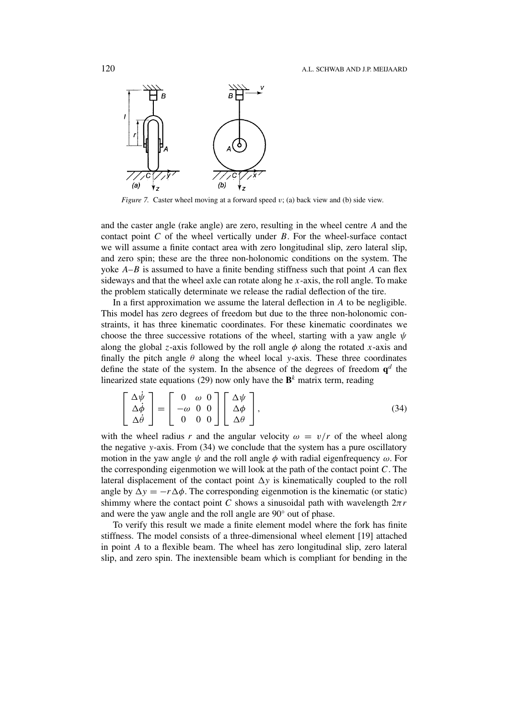

*Figure 7.* Caster wheel moving at a forward speed *v*; (a) back view and (b) side view.

and the caster angle (rake angle) are zero, resulting in the wheel centre *A* and the contact point *C* of the wheel vertically under *B*. For the wheel-surface contact we will assume a finite contact area with zero longitudinal slip, zero lateral slip, and zero spin; these are the three non-holonomic conditions on the system. The yoke *A*–*B* is assumed to have a finite bending stiffness such that point *A* can flex sideways and that the wheel axle can rotate along he *x*-axis, the roll angle. To make the problem statically determinate we release the radial deflection of the tire.

In a first approximation we assume the lateral deflection in *A* to be negligible. This model has zero degrees of freedom but due to the three non-holonomic constraints, it has three kinematic coordinates. For these kinematic coordinates we choose the three successive rotations of the wheel, starting with a yaw angle *ψ* along the global *z*-axis followed by the roll angle  $\phi$  along the rotated *x*-axis and finally the pitch angle  $\theta$  along the wheel local *y*-axis. These three coordinates define the state of the system. In the absence of the degrees of freedom  $q^d$  the linearized state equations (29) now only have the  $\mathbf{B}^k$  matrix term, reading

$$
\begin{bmatrix}\n\Delta \dot{\psi} \\
\Delta \dot{\phi} \\
\Delta \dot{\theta}\n\end{bmatrix} = \begin{bmatrix}\n0 & \omega & 0 \\
-\omega & 0 & 0 \\
0 & 0 & 0\n\end{bmatrix} \begin{bmatrix}\n\Delta \psi \\
\Delta \phi \\
\Delta \theta\n\end{bmatrix},
$$
\n(34)

with the wheel radius r and the angular velocity  $\omega = v/r$  of the wheel along the negative *y*-axis. From (34) we conclude that the system has a pure oscillatory motion in the yaw angle  $\psi$  and the roll angle  $\phi$  with radial eigenfrequency  $\omega$ . For the corresponding eigenmotion we will look at the path of the contact point *C*. The lateral displacement of the contact point  $\Delta y$  is kinematically coupled to the roll angle by  $\Delta y = -r \Delta \phi$ . The corresponding eigenmotion is the kinematic (or static) shimmy where the contact point *C* shows a sinusoidal path with wavelength  $2\pi r$ and were the yaw angle and the roll angle are 90◦ out of phase.

To verify this result we made a finite element model where the fork has finite stiffness. The model consists of a three-dimensional wheel element [19] attached in point *A* to a flexible beam. The wheel has zero longitudinal slip, zero lateral slip, and zero spin. The inextensible beam which is compliant for bending in the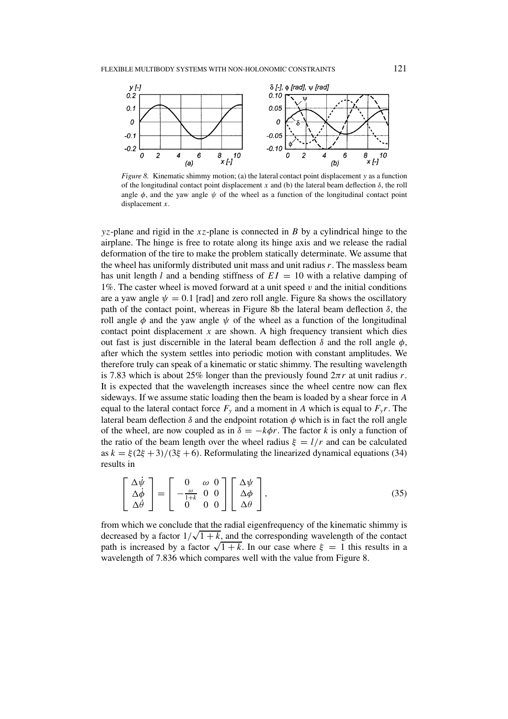

*Figure 8.* Kinematic shimmy motion; (a) the lateral contact point displacement *y* as a function of the longitudinal contact point displacement *x* and (b) the lateral beam deflection  $\delta$ , the roll angle  $\phi$ , and the yaw angle  $\psi$  of the wheel as a function of the longitudinal contact point displacement *x*.

*yz*-plane and rigid in the *xz*-plane is connected in *B* by a cylindrical hinge to the airplane. The hinge is free to rotate along its hinge axis and we release the radial deformation of the tire to make the problem statically determinate. We assume that the wheel has uniformly distributed unit mass and unit radius *r*. The massless beam has unit length *l* and a bending stiffness of  $EI = 10$  with a relative damping of 1%. The caster wheel is moved forward at a unit speed *v* and the initial conditions are a yaw angle  $\psi = 0.1$  [rad] and zero roll angle. Figure 8a shows the oscillatory path of the contact point, whereas in Figure 8b the lateral beam deflection *δ*, the roll angle  $\phi$  and the yaw angle  $\psi$  of the wheel as a function of the longitudinal contact point displacement  $x$  are shown. A high frequency transient which dies out fast is just discernible in the lateral beam deflection  $\delta$  and the roll angle  $\phi$ , after which the system settles into periodic motion with constant amplitudes. We therefore truly can speak of a kinematic or static shimmy. The resulting wavelength is 7.83 which is about 25% longer than the previously found  $2\pi r$  at unit radius *r*. It is expected that the wavelength increases since the wheel centre now can flex sideways. If we assume static loading then the beam is loaded by a shear force in *A* equal to the lateral contact force  $F_y$  and a moment in *A* which is equal to  $F_y r$ . The lateral beam deflection  $\delta$  and the endpoint rotation  $\phi$  which is in fact the roll angle of the wheel, are now coupled as in  $\delta = -k\phi r$ . The factor *k* is only a function of the ratio of the beam length over the wheel radius  $\xi = l/r$  and can be calculated as  $k = \xi(2\xi + 3)/(3\xi + 6)$ . Reformulating the linearized dynamical equations (34) results in

$$
\begin{bmatrix}\n\Delta \dot{\psi} \\
\Delta \dot{\phi} \\
\Delta \dot{\theta}\n\end{bmatrix} = \begin{bmatrix}\n0 & \omega & 0 \\
-\frac{\omega}{1+k} & 0 & 0 \\
0 & 0 & 0\n\end{bmatrix} \begin{bmatrix}\n\Delta \psi \\
\Delta \phi \\
\Delta \theta\n\end{bmatrix},
$$
\n(35)

from which we conclude that the radial eigenfrequency of the kinematic shimmy is decreased by a factor  $1/\sqrt{1+k}$ , and the corresponding wavelength of the contact path is increased by a factor  $\sqrt{1+k}$ . In our case where  $\xi = 1$  this results in a wavelength of 7.836 which compares well with the value from Figure 8.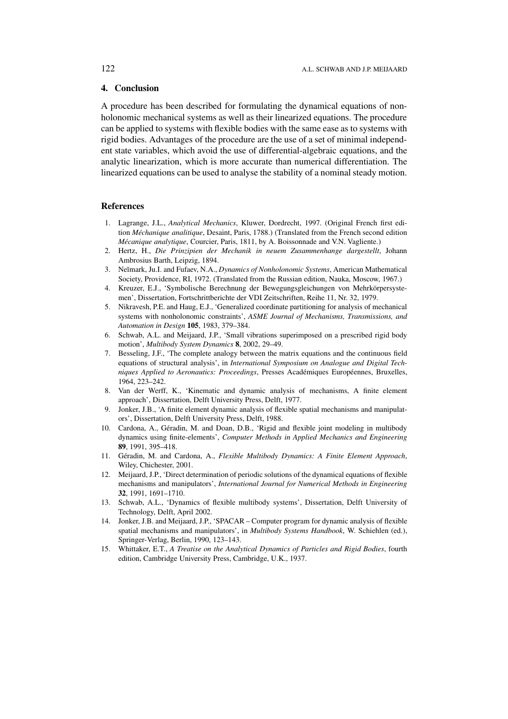# **4. Conclusion**

A procedure has been described for formulating the dynamical equations of nonholonomic mechanical systems as well as their linearized equations. The procedure can be applied to systems with flexible bodies with the same ease as to systems with rigid bodies. Advantages of the procedure are the use of a set of minimal independent state variables, which avoid the use of differential-algebraic equations, and the analytic linearization, which is more accurate than numerical differentiation. The linearized equations can be used to analyse the stability of a nominal steady motion.

## **References**

- 1. Lagrange, J.L., *Analytical Mechanics*, Kluwer, Dordrecht, 1997. (Original French first edition *Méchanique analitique*, Desaint, Paris, 1788.) (Translated from the French second edition *Mécanique analytique*, Courcier, Paris, 1811, by A. Boissonnade and V.N. Vagliente.)
- 2. Hertz, H., *Die Prinzipien der Mechanik in neuem Zusammenhange dargestellt*, Johann Ambrosius Barth, Leipzig, 1894.
- 3. Ne˘ımark, Ju.I. and Fufaev, N.A., *Dynamics of Nonholonomic Systems*, American Mathematical Society, Providence, RI, 1972. (Translated from the Russian edition, Nauka, Moscow, 1967.)
- 4. Kreuzer, E.J., 'Symbolische Berechnung der Bewegungsgleichungen von Mehrkörpersystemen', Dissertation, Fortschrittberichte der VDI Zeitschriften, Reihe 11, Nr. 32, 1979.
- 5. Nikravesh, P.E. and Haug, E.J., 'Generalized coordinate partitioning for analysis of mechanical systems with nonholonomic constraints', *ASME Journal of Mechanisms, Transmissions, and Automation in Design* **105**, 1983, 379–384.
- 6. Schwab, A.L. and Meijaard, J.P., 'Small vibrations superimposed on a prescribed rigid body motion', *Multibody System Dynamics* **8**, 2002, 29–49.
- 7. Besseling, J.F., 'The complete analogy between the matrix equations and the continuous field equations of structural analysis', in *International Symposium on Analogue and Digital Techniques Applied to Aeronautics: Proceedings*, Presses Académiques Européennes, Bruxelles, 1964, 223–242.
- 8. Van der Werff, K., 'Kinematic and dynamic analysis of mechanisms, A finite element approach', Dissertation, Delft University Press, Delft, 1977.
- 9. Jonker, J.B., 'A finite element dynamic analysis of flexible spatial mechanisms and manipulators', Dissertation, Delft University Press, Delft, 1988.
- 10. Cardona, A., Géradin, M. and Doan, D.B., 'Rigid and flexible joint modeling in multibody dynamics using finite-elements', *Computer Methods in Applied Mechanics and Engineering* **89**, 1991, 395–418.
- 11. Géradin, M. and Cardona, A., *Flexible Multibody Dynamics: A Finite Element Approach*, Wiley, Chichester, 2001.
- 12. Meijaard, J.P., 'Direct determination of periodic solutions of the dynamical equations of flexible mechanisms and manipulators', *International Journal for Numerical Methods in Engineering* **32**, 1991, 1691–1710.
- 13. Schwab, A.L., 'Dynamics of flexible multibody systems', Dissertation, Delft University of Technology, Delft, April 2002.
- 14. Jonker, J.B. and Meijaard, J.P., 'SPACAR Computer program for dynamic analysis of flexible spatial mechanisms and manipulators', in *Multibody Systems Handbook*, W. Schiehlen (ed.), Springer-Verlag, Berlin, 1990, 123–143.
- 15. Whittaker, E.T., *A Treatise on the Analytical Dynamics of Particles and Rigid Bodies*, fourth edition, Cambridge University Press, Cambridge, U.K., 1937.